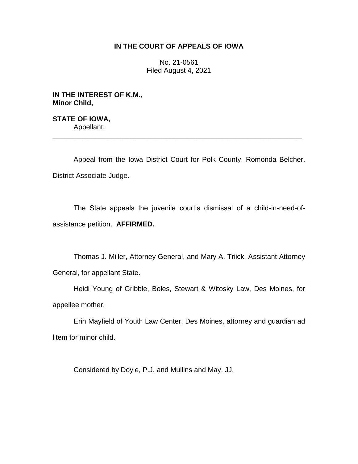## **IN THE COURT OF APPEALS OF IOWA**

No. 21-0561 Filed August 4, 2021

**IN THE INTEREST OF K.M., Minor Child,**

**STATE OF IOWA,** Appellant. \_\_\_\_\_\_\_\_\_\_\_\_\_\_\_\_\_\_\_\_\_\_\_\_\_\_\_\_\_\_\_\_\_\_\_\_\_\_\_\_\_\_\_\_\_\_\_\_\_\_\_\_\_\_\_\_\_\_\_\_\_\_\_\_

Appeal from the Iowa District Court for Polk County, Romonda Belcher, District Associate Judge.

The State appeals the juvenile court's dismissal of a child-in-need-ofassistance petition. **AFFIRMED.**

Thomas J. Miller, Attorney General, and Mary A. Triick, Assistant Attorney General, for appellant State.

Heidi Young of Gribble, Boles, Stewart & Witosky Law, Des Moines, for appellee mother.

Erin Mayfield of Youth Law Center, Des Moines, attorney and guardian ad litem for minor child.

Considered by Doyle, P.J. and Mullins and May, JJ.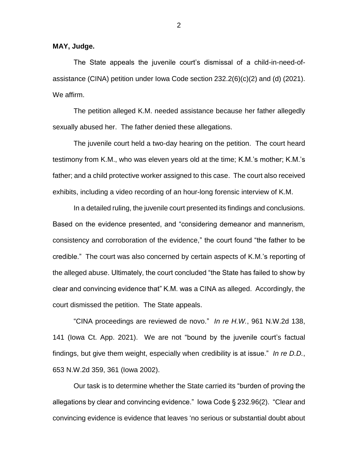**MAY, Judge.**

The State appeals the juvenile court's dismissal of a child-in-need-ofassistance (CINA) petition under lowa Code section  $232.2(6)(c)(2)$  and (d)  $(2021)$ . We affirm.

The petition alleged K.M. needed assistance because her father allegedly sexually abused her. The father denied these allegations.

The juvenile court held a two-day hearing on the petition. The court heard testimony from K.M., who was eleven years old at the time; K.M.'s mother; K.M.'s father; and a child protective worker assigned to this case. The court also received exhibits, including a video recording of an hour-long forensic interview of K.M.

In a detailed ruling, the juvenile court presented its findings and conclusions. Based on the evidence presented, and "considering demeanor and mannerism, consistency and corroboration of the evidence," the court found "the father to be credible." The court was also concerned by certain aspects of K.M.'s reporting of the alleged abuse. Ultimately, the court concluded "the State has failed to show by clear and convincing evidence that" K.M. was a CINA as alleged. Accordingly, the court dismissed the petition. The State appeals.

"CINA proceedings are reviewed de novo." *In re H.W.*, 961 N.W.2d 138, 141 (Iowa Ct. App. 2021). We are not "bound by the juvenile court's factual findings, but give them weight, especially when credibility is at issue." *In re D.D.*, 653 N.W.2d 359, 361 (Iowa 2002).

Our task is to determine whether the State carried its "burden of proving the allegations by clear and convincing evidence." Iowa Code § 232.96(2). "Clear and convincing evidence is evidence that leaves 'no serious or substantial doubt about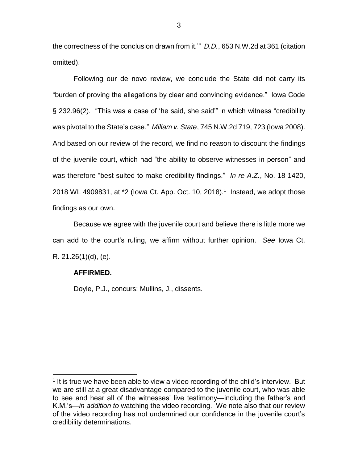the correctness of the conclusion drawn from it.'" *D.D.*, 653 N.W.2d at 361 (citation omitted).

Following our de novo review, we conclude the State did not carry its "burden of proving the allegations by clear and convincing evidence." Iowa Code § 232.96(2). "This was a case of 'he said, she said'" in which witness "credibility was pivotal to the State's case." *Millam v. State*, 745 N.W.2d 719, 723 (Iowa 2008). And based on our review of the record, we find no reason to discount the findings of the juvenile court, which had "the ability to observe witnesses in person" and was therefore "best suited to make credibility findings." *In re A.Z.*, No. 18-1420, 2018 WL 4909831, at \*2 (lowa Ct. App. Oct. 10, 2018).<sup>1</sup> Instead, we adopt those findings as our own.

Because we agree with the juvenile court and believe there is little more we can add to the court's ruling, we affirm without further opinion. *See* Iowa Ct. R. 21.26(1)(d), (e).

## **AFFIRMED.**

 $\overline{a}$ 

Doyle, P.J., concurs; Mullins, J., dissents.

<sup>&</sup>lt;sup>1</sup> It is true we have been able to view a video recording of the child's interview. But we are still at a great disadvantage compared to the juvenile court, who was able to see and hear all of the witnesses' live testimony—including the father's and K.M.'s—*in addition to* watching the video recording. We note also that our review of the video recording has not undermined our confidence in the juvenile court's credibility determinations.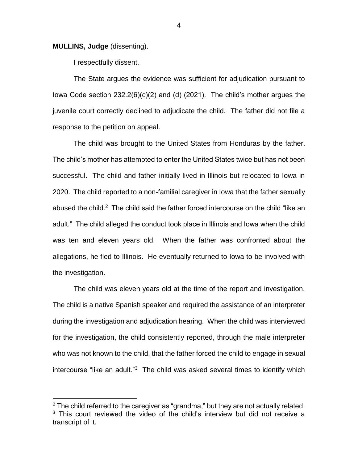**MULLINS, Judge** (dissenting).

l

I respectfully dissent.

The State argues the evidence was sufficient for adjudication pursuant to Iowa Code section 232.2(6)(c)(2) and (d) (2021). The child's mother argues the juvenile court correctly declined to adjudicate the child. The father did not file a response to the petition on appeal.

The child was brought to the United States from Honduras by the father. The child's mother has attempted to enter the United States twice but has not been successful. The child and father initially lived in Illinois but relocated to Iowa in 2020. The child reported to a non-familial caregiver in Iowa that the father sexually abused the child.<sup>2</sup> The child said the father forced intercourse on the child "like an adult." The child alleged the conduct took place in Illinois and Iowa when the child was ten and eleven years old. When the father was confronted about the allegations, he fled to Illinois. He eventually returned to Iowa to be involved with the investigation.

The child was eleven years old at the time of the report and investigation. The child is a native Spanish speaker and required the assistance of an interpreter during the investigation and adjudication hearing. When the child was interviewed for the investigation, the child consistently reported, through the male interpreter who was not known to the child, that the father forced the child to engage in sexual intercourse "like an adult."<sup>3</sup> The child was asked several times to identify which

4

 $2$  The child referred to the caregiver as "grandma," but they are not actually related.  $3$  This court reviewed the video of the child's interview but did not receive a transcript of it.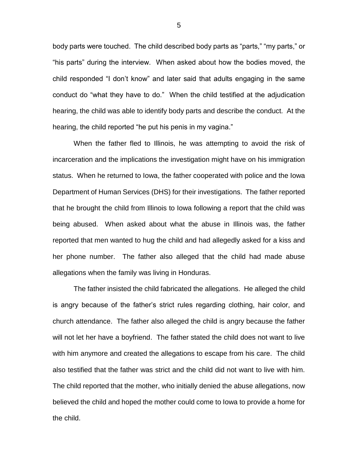body parts were touched. The child described body parts as "parts," "my parts," or "his parts" during the interview. When asked about how the bodies moved, the child responded "I don't know" and later said that adults engaging in the same conduct do "what they have to do." When the child testified at the adjudication hearing, the child was able to identify body parts and describe the conduct. At the hearing, the child reported "he put his penis in my vagina."

When the father fled to Illinois, he was attempting to avoid the risk of incarceration and the implications the investigation might have on his immigration status. When he returned to Iowa, the father cooperated with police and the Iowa Department of Human Services (DHS) for their investigations. The father reported that he brought the child from Illinois to Iowa following a report that the child was being abused. When asked about what the abuse in Illinois was, the father reported that men wanted to hug the child and had allegedly asked for a kiss and her phone number. The father also alleged that the child had made abuse allegations when the family was living in Honduras.

The father insisted the child fabricated the allegations. He alleged the child is angry because of the father's strict rules regarding clothing, hair color, and church attendance. The father also alleged the child is angry because the father will not let her have a boyfriend. The father stated the child does not want to live with him anymore and created the allegations to escape from his care. The child also testified that the father was strict and the child did not want to live with him. The child reported that the mother, who initially denied the abuse allegations, now believed the child and hoped the mother could come to Iowa to provide a home for the child.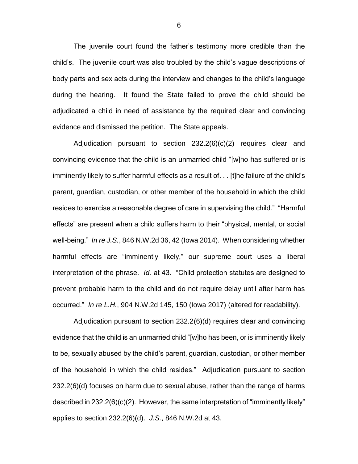The juvenile court found the father's testimony more credible than the child's. The juvenile court was also troubled by the child's vague descriptions of body parts and sex acts during the interview and changes to the child's language during the hearing. It found the State failed to prove the child should be adjudicated a child in need of assistance by the required clear and convincing evidence and dismissed the petition. The State appeals.

Adjudication pursuant to section 232.2(6)(c)(2) requires clear and convincing evidence that the child is an unmarried child "[w]ho has suffered or is imminently likely to suffer harmful effects as a result of. . . [t]he failure of the child's parent, guardian, custodian, or other member of the household in which the child resides to exercise a reasonable degree of care in supervising the child." "Harmful effects" are present when a child suffers harm to their "physical, mental, or social well-being." *In re J.S.*, 846 N.W.2d 36, 42 (Iowa 2014). When considering whether harmful effects are "imminently likely," our supreme court uses a liberal interpretation of the phrase. *Id.* at 43. "Child protection statutes are designed to prevent probable harm to the child and do not require delay until after harm has occurred." *In re L.H.*, 904 N.W.2d 145, 150 (Iowa 2017) (altered for readability).

Adjudication pursuant to section 232.2(6)(d) requires clear and convincing evidence that the child is an unmarried child "[w]ho has been, or is imminently likely to be, sexually abused by the child's parent, guardian, custodian, or other member of the household in which the child resides." Adjudication pursuant to section 232.2(6)(d) focuses on harm due to sexual abuse, rather than the range of harms described in 232.2(6)(c)(2). However, the same interpretation of "imminently likely" applies to section 232.2(6)(d). *J.S.*, 846 N.W.2d at 43.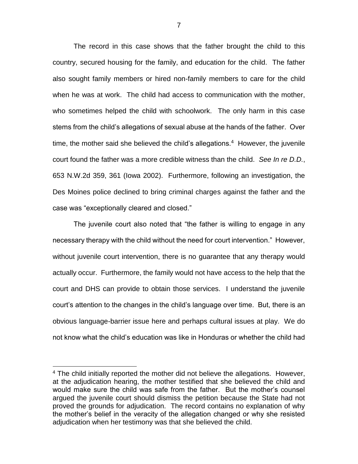The record in this case shows that the father brought the child to this country, secured housing for the family, and education for the child. The father also sought family members or hired non-family members to care for the child when he was at work. The child had access to communication with the mother, who sometimes helped the child with schoolwork. The only harm in this case stems from the child's allegations of sexual abuse at the hands of the father. Over time, the mother said she believed the child's allegations.<sup>4</sup> However, the juvenile court found the father was a more credible witness than the child. *See In re D.D.*, 653 N.W.2d 359, 361 (Iowa 2002). Furthermore, following an investigation, the Des Moines police declined to bring criminal charges against the father and the case was "exceptionally cleared and closed."

The juvenile court also noted that "the father is willing to engage in any necessary therapy with the child without the need for court intervention." However, without juvenile court intervention, there is no guarantee that any therapy would actually occur. Furthermore, the family would not have access to the help that the court and DHS can provide to obtain those services. I understand the juvenile court's attention to the changes in the child's language over time. But, there is an obvious language-barrier issue here and perhaps cultural issues at play. We do not know what the child's education was like in Honduras or whether the child had

 $\overline{a}$ 

<sup>&</sup>lt;sup>4</sup> The child initially reported the mother did not believe the allegations. However, at the adjudication hearing, the mother testified that she believed the child and would make sure the child was safe from the father. But the mother's counsel argued the juvenile court should dismiss the petition because the State had not proved the grounds for adjudication. The record contains no explanation of why the mother's belief in the veracity of the allegation changed or why she resisted adjudication when her testimony was that she believed the child.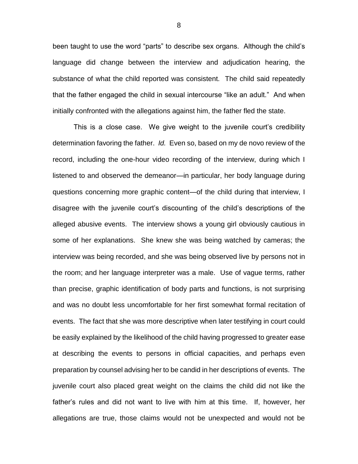been taught to use the word "parts" to describe sex organs. Although the child's language did change between the interview and adjudication hearing, the substance of what the child reported was consistent. The child said repeatedly that the father engaged the child in sexual intercourse "like an adult." And when initially confronted with the allegations against him, the father fled the state.

This is a close case. We give weight to the juvenile court's credibility determination favoring the father. *Id.* Even so, based on my de novo review of the record, including the one-hour video recording of the interview, during which I listened to and observed the demeanor—in particular, her body language during questions concerning more graphic content—of the child during that interview, I disagree with the juvenile court's discounting of the child's descriptions of the alleged abusive events. The interview shows a young girl obviously cautious in some of her explanations. She knew she was being watched by cameras; the interview was being recorded, and she was being observed live by persons not in the room; and her language interpreter was a male. Use of vague terms, rather than precise, graphic identification of body parts and functions, is not surprising and was no doubt less uncomfortable for her first somewhat formal recitation of events. The fact that she was more descriptive when later testifying in court could be easily explained by the likelihood of the child having progressed to greater ease at describing the events to persons in official capacities, and perhaps even preparation by counsel advising her to be candid in her descriptions of events. The juvenile court also placed great weight on the claims the child did not like the father's rules and did not want to live with him at this time. If, however, her allegations are true, those claims would not be unexpected and would not be

8